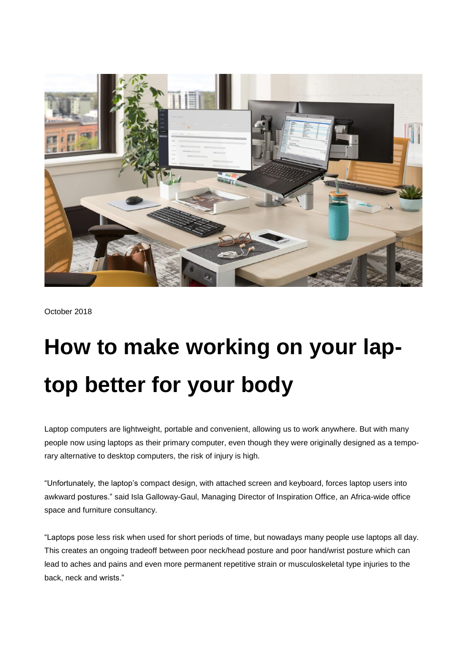

October 2018

## **How to make working on your laptop better for your body**

Laptop computers are lightweight, portable and convenient, allowing us to work anywhere. But with many people now using laptops as their primary computer, even though they were originally designed as a temporary alternative to desktop computers, the risk of injury is high.

"Unfortunately, the laptop's compact design, with attached screen and keyboard, forces laptop users into awkward postures." said Isla Galloway-Gaul, Managing Director of Inspiration Office, an Africa-wide office space and furniture consultancy.

"Laptops pose less risk when used for short periods of time, but nowadays many people use laptops all day. This creates an ongoing tradeoff between poor neck/head posture and poor hand/wrist posture which can lead to aches and pains and even more permanent repetitive strain or musculoskeletal type injuries to the back, neck and wrists."